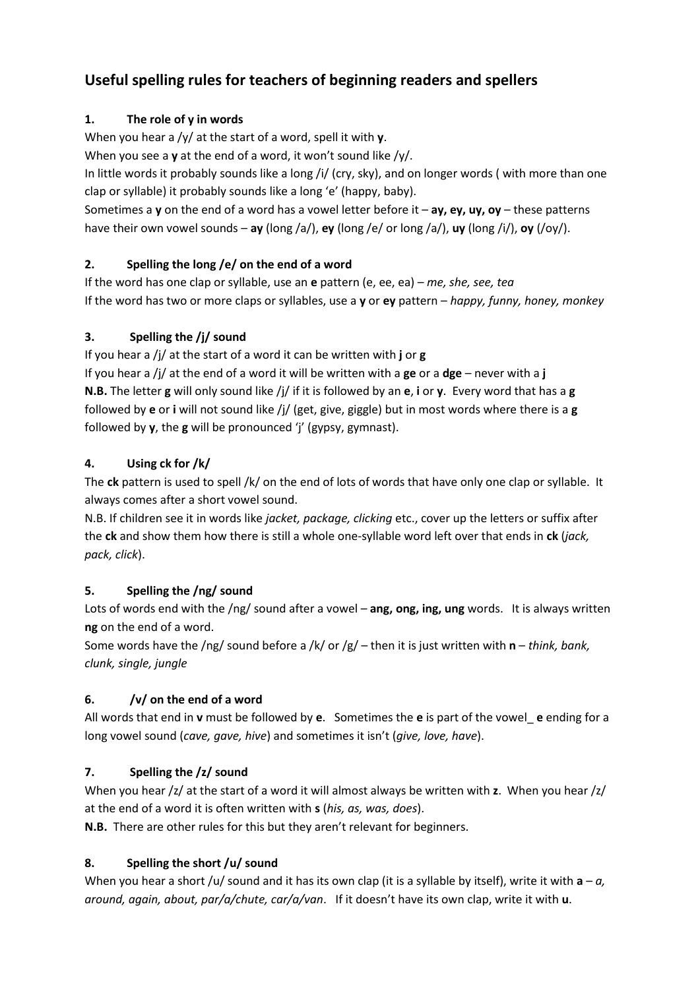# **Useful spelling rules for teachers of beginning readers and spellers**

# **1. The role of y in words**

When you hear a /y/ at the start of a word, spell it with **y**.

When you see a **y** at the end of a word, it won't sound like /y/.

In little words it probably sounds like a long /i/ (cry, sky), and on longer words ( with more than one clap or syllable) it probably sounds like a long 'e' (happy, baby).

Sometimes a **y** on the end of a word has a vowel letter before it – **ay, ey, uy, oy** – these patterns have their own vowel sounds – **ay** (long /a/), **ey** (long /e/ or long /a/), **uy** (long /i/), **oy** (/oy/).

# **2. Spelling the long /e/ on the end of a word**

If the word has one clap or syllable, use an **e** pattern (e, ee, ea) – *me, she, see, tea* If the word has two or more claps or syllables, use a **y** or **ey** pattern – *happy, funny, honey, monkey*

# **3. Spelling the /j/ sound**

If you hear a /j/ at the start of a word it can be written with **j** or **g** If you hear a /j/ at the end of a word it will be written with a **ge** or a **dge** – never with a **j N.B.** The letter **g** will only sound like /j/ if it is followed by an **e**, **i** or **y**. Every word that has a **g**  followed by **e** or **i** will not sound like /j/ (get, give, giggle) but in most words where there is a **g** followed by **y**, the **g** will be pronounced 'j' (gypsy, gymnast).

# **4. Using ck for /k/**

The **ck** pattern is used to spell /k/ on the end of lots of words that have only one clap or syllable. It always comes after a short vowel sound.

N.B. If children see it in words like *jacket, package, clicking* etc., cover up the letters or suffix after the **ck** and show them how there is still a whole one-syllable word left over that ends in **ck** (*jack, pack, click*).

#### **5. Spelling the /ng/ sound**

Lots of words end with the /ng/ sound after a vowel – **ang, ong, ing, ung** words. It is always written **ng** on the end of a word.

Some words have the /ng/ sound before a /k/ or /g/ – then it is just written with **n** – *think, bank, clunk, single, jungle*

# **6. /v/ on the end of a word**

All words that end in **v** must be followed by **e**. Sometimes the **e** is part of the vowel\_ **e** ending for a long vowel sound (*cave, gave, hive*) and sometimes it isn't (*give, love, have*).

# **7. Spelling the /z/ sound**

When you hear /z/ at the start of a word it will almost always be written with **z**. When you hear /z/ at the end of a word it is often written with **s** (*his, as, was, does*).

**N.B.** There are other rules for this but they aren't relevant for beginners.

# **8. Spelling the short /u/ sound**

When you hear a short /u/ sound and it has its own clap (it is a syllable by itself), write it with  $a - a$ , *around, again, about, par/a/chute, car/a/van*. If it doesn't have its own clap, write it with **u**.